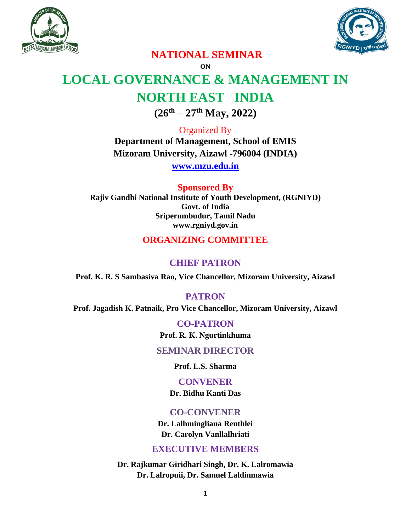



## **NATIONAL SEMINAR**

**ON**

# **LOCAL GOVERNANCE & MANAGEMENT IN NORTH EAST INDIA**

**(26th – 27th May, 2022)**

Organized By **Department of Management, School of EMIS Mizoram University, Aizawl -796004 (INDIA)**

**[www.mzu.edu.in](http://www.mzu.edu.in/)**

**Sponsored By Rajiv Gandhi National Institute of Youth Development, (RGNIYD) Govt. of India Sriperumbudur, Tamil Nadu www.rgniyd.gov.in**

## **ORGANIZING COMMITTEE**

## **CHIEF PATRON**

**Prof. K. R. S Sambasiva Rao, Vice Chancellor, Mizoram University, Aizawl**

#### **PATRON**

**Prof. Jagadish K. Patnaik, Pro Vice Chancellor, Mizoram University, Aizawl**

**CO-PATRON Prof. R. K. Ngurtinkhuma**

#### **SEMINAR DIRECTOR**

**Prof. L.S. Sharma**

#### **CONVENER**

**Dr. Bidhu Kanti Das**

## **CO-CONVENER**

**Dr. Lalhmingliana Renthlei Dr. Carolyn Vanllalhriati**

## **EXECUTIVE MEMBERS**

**Dr. Rajkumar Giridhari Singh, Dr. K. Lalromawia Dr. Lalropuii, Dr. Samuel Laldinmawia**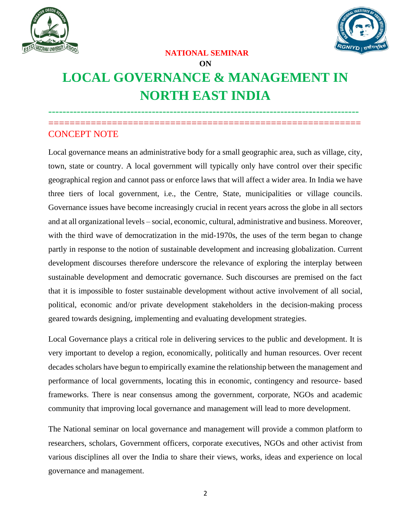



#### **NATIONAL SEMINAR**

## **ON**

# **LOCAL GOVERNANCE & MANAGEMENT IN NORTH EAST INDIA**

--------------------------------------------------------------------------------------- ===========================================================

## CONCEPT NOTE

Local governance means an administrative body for a small geographic area, such as village, city, town, state or country. A local government will typically only have control over their specific geographical region and cannot pass or enforce laws that will affect a wider area. In India we have three tiers of local government, i.e., the Centre, State, municipalities or village councils. Governance issues have become increasingly crucial in recent years across the globe in all sectors and at all organizational levels – social, economic, cultural, administrative and business. Moreover, with the third wave of democratization in the mid-1970s, the uses of the term began to change partly in response to the notion of sustainable development and increasing globalization. Current development discourses therefore underscore the relevance of exploring the interplay between sustainable development and democratic governance. Such discourses are premised on the fact that it is impossible to foster sustainable development without active involvement of all social, political, economic and/or private development stakeholders in the decision-making process geared towards designing, implementing and evaluating development strategies.

Local Governance plays a critical role in delivering services to the public and development. It is very important to develop a region, economically, politically and human resources. Over recent decades scholars have begun to empirically examine the relationship between the management and performance of local governments, locating this in economic, contingency and resource- based frameworks. There is near consensus among the government, corporate, NGOs and academic community that improving local governance and management will lead to more development.

The National seminar on local governance and management will provide a common platform to researchers, scholars, Government officers, corporate executives, NGOs and other activist from various disciplines all over the India to share their views, works, ideas and experience on local governance and management.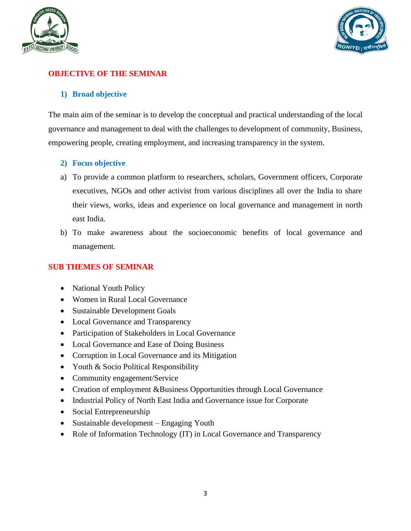



#### **OBJECTIVE OF THE SEMINAR**

#### **1) Broad objective**

The main aim of the seminar is to develop the conceptual and practical understanding of the local governance and management to deal with the challenges to development of community, Business, empowering people, creating employment, and increasing transparency in the system.

#### **2) Focus objective**

- a) To provide a common platform to researchers, scholars, Government officers, Corporate executives, NGOs and other activist from various disciplines all over the India to share their views, works, ideas and experience on local governance and management in north east India.
- b) To make awareness about the socioeconomic benefits of local governance and management.

#### **SUB THEMES OF SEMINAR**

- National Youth Policy
- Women in Rural Local Governance
- Sustainable Development Goals
- Local Governance and Transparency
- Participation of Stakeholders in Local Governance
- Local Governance and Ease of Doing Business
- Corruption in Local Governance and its Mitigation
- Youth & Socio Political Responsibility
- Community engagement/Service
- Creation of employment &Business Opportunities through Local Governance
- Industrial Policy of North East India and Governance issue for Corporate
- Social Entrepreneurship
- Sustainable development Engaging Youth
- Role of Information Technology (IT) in Local Governance and Transparency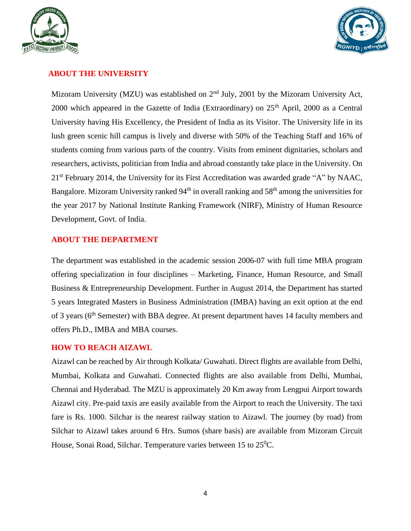



#### **ABOUT THE UNIVERSITY**

Mizoram University (MZU) was established on  $2<sup>nd</sup>$  July, 2001 by the Mizoram University Act, 2000 which appeared in the Gazette of India (Extraordinary) on  $25<sup>th</sup>$  April, 2000 as a Central University having His Excellency, the President of India as its Visitor. The University life in its lush green scenic hill campus is lively and diverse with 50% of the Teaching Staff and 16% of students coming from various parts of the country. Visits from eminent dignitaries, scholars and researchers, activists, politician from India and abroad constantly take place in the University. On 21st February 2014, the University for its First Accreditation was awarded grade "A" by NAAC, Bangalore. Mizoram University ranked  $94<sup>th</sup>$  in overall ranking and  $58<sup>th</sup>$  among the universities for the year 2017 by National Institute Ranking Framework (NIRF), Ministry of Human Resource Development, Govt. of India.

#### **ABOUT THE DEPARTMENT**

The department was established in the academic session 2006-07 with full time MBA program offering specialization in four disciplines – Marketing, Finance, Human Resource, and Small Business & Entrepreneurship Development. Further in August 2014, the Department has started 5 years Integrated Masters in Business Administration (IMBA) having an exit option at the end of 3 years (6<sup>th</sup> Semester) with BBA degree. At present department haves 14 faculty members and offers Ph.D., IMBA and MBA courses.

#### **HOW TO REACH AIZAWL**

Aizawl can be reached by Air through Kolkata/ Guwahati. Direct flights are available from Delhi, Mumbai, Kolkata and Guwahati. Connected flights are also available from Delhi, Mumbai, Chennai and Hyderabad. The MZU is approximately 20 Km away from Lengpui Airport towards Aizawl city. Pre-paid taxis are easily available from the Airport to reach the University. The taxi fare is Rs. 1000. Silchar is the nearest railway station to Aizawl. The journey (by road) from Silchar to Aizawl takes around 6 Hrs. Sumos (share basis) are available from Mizoram Circuit House, Sonai Road, Silchar. Temperature varies between 15 to  $25^{\circ}$ C.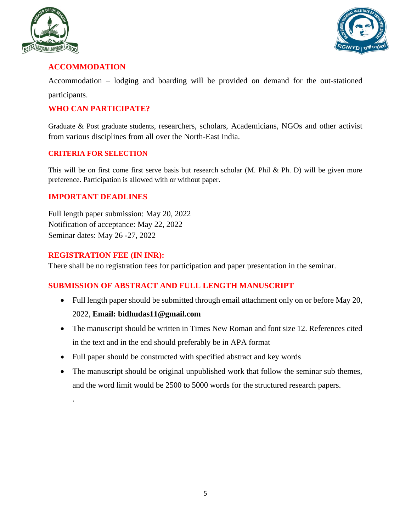



### **ACCOMMODATION**

Accommodation – lodging and boarding will be provided on demand for the out-stationed participants.

#### **WHO CAN PARTICIPATE?**

Graduate & Post graduate students, researchers, scholars, Academicians, NGOs and other activist from various disciplines from all over the North-East India.

#### **CRITERIA FOR SELECTION**

This will be on first come first serve basis but research scholar (M. Phil & Ph. D) will be given more preference. Participation is allowed with or without paper.

#### **IMPORTANT DEADLINES**

Full length paper submission: May 20, 2022 Notification of acceptance: May 22, 2022 Seminar dates: May 26 -27, 2022

#### **REGISTRATION FEE (IN INR):**

.

There shall be no registration fees for participation and paper presentation in the seminar.

#### **SUBMISSION OF ABSTRACT AND FULL LENGTH MANUSCRIPT**

- Full length paper should be submitted through email attachment only on or before May 20, 2022, **Email: bidhudas11@gmail.com**
- The manuscript should be written in Times New Roman and font size 12. References cited in the text and in the end should preferably be in APA format
- Full paper should be constructed with specified abstract and key words
- The manuscript should be original unpublished work that follow the seminar sub themes, and the word limit would be 2500 to 5000 words for the structured research papers.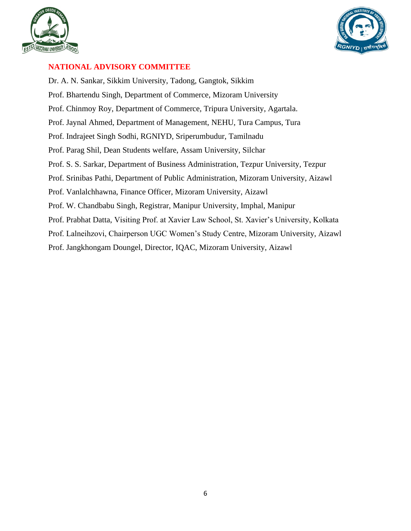



#### **NATIONAL ADVISORY COMMITTEE**

Dr. A. N. Sankar, Sikkim University, Tadong, Gangtok, Sikkim Prof. Bhartendu Singh, Department of Commerce, Mizoram University Prof. Chinmoy Roy, Department of Commerce, Tripura University, Agartala. Prof. Jaynal Ahmed, Department of Management, NEHU, Tura Campus, Tura Prof. Indrajeet Singh Sodhi, RGNIYD, Sriperumbudur, Tamilnadu Prof. Parag Shil, Dean Students welfare, Assam University, Silchar Prof. S. S. Sarkar, Department of Business Administration, Tezpur University, Tezpur Prof. Srinibas Pathi, Department of Public Administration, Mizoram University, Aizawl Prof. Vanlalchhawna, Finance Officer, Mizoram University, Aizawl Prof. W. Chandbabu Singh, Registrar, Manipur University, Imphal, Manipur Prof. Prabhat Datta, Visiting Prof. at Xavier Law School, St. Xavier's University, Kolkata Prof. Lalneihzovi, Chairperson UGC Women's Study Centre, Mizoram University, Aizawl Prof. Jangkhongam Doungel, Director, IQAC, Mizoram University, Aizawl